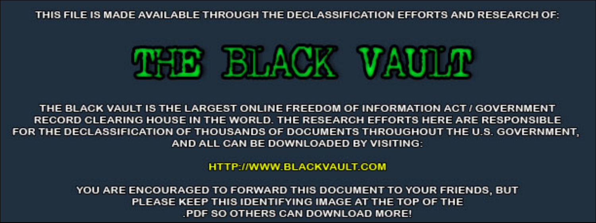THIS FILE IS MADE AVAILABLE THROUGH THE DECLASSIFICATION EFFORTS AND RESEARCH OF:



THE BLACK VAULT IS THE LARGEST ONLINE FREEDOM OF INFORMATION ACT / GOVERNMENT RECORD CLEARING HOUSE IN THE WORLD. THE RESEARCH EFFORTS HERE ARE RESPONSIBLE FOR THE DECLASSIFICATION OF THOUSANDS OF DOCUMENTS THROUGHOUT THE U.S. GOVERNMENT, AND ALL CAN BE DOWNLOADED BY VISITING:

**HTTP://WWW.BLACKVAULT.COM** 

YOU ARE ENCOURAGED TO FORWARD THIS DOCUMENT TO YOUR FRIENDS, BUT PLEASE KEEP THIS IDENTIFYING IMAGE AT THE TOP OF THE PDF SO OTHERS CAN DOWNLOAD MORE!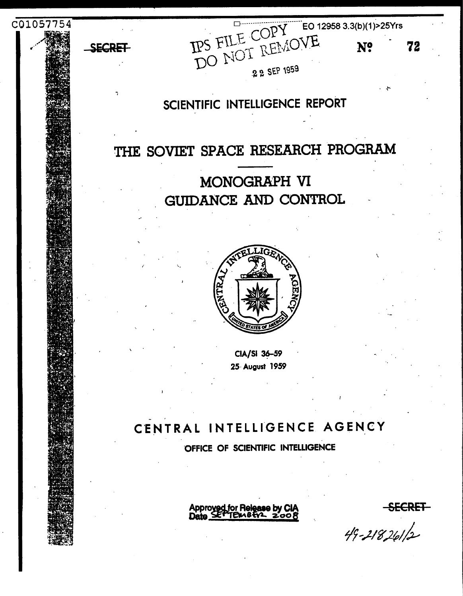

72

 $49 - 218261/2$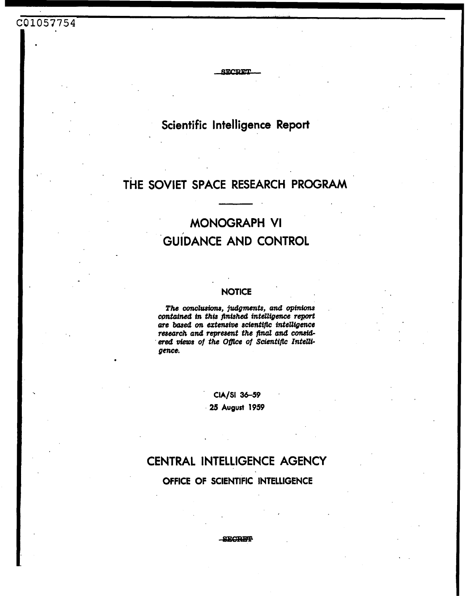## C01057754

Scientific Intelligence Report

**SECRET** 

# THE SOVIET SPACE RESEARCH PROGRAM

# **MONOGRAPH VI GUIDANCE AND CONTROL**

## **NOTICE**

The conclusions, judgments, and opinions contained in this finished intelligence report are based on extensive scientific intelligence research and represent the final and considered views of the Office of Scientific Intelligence.

# CIA/SI 36-59

25 August 1959

# CENTRAL INTELLIGENCE AGENCY

OFFICE OF SCIENTIFIC INTELLIGENCE

**SECRET**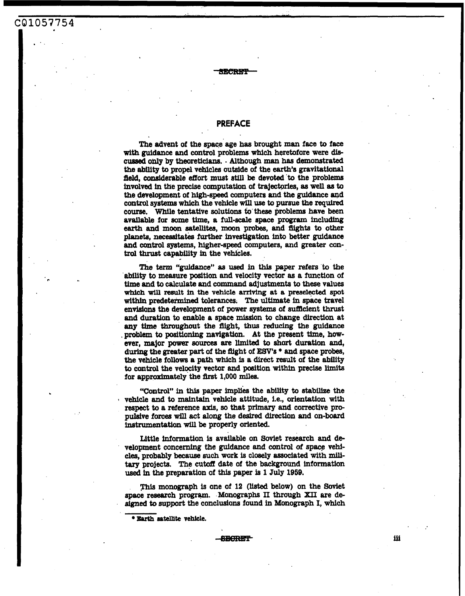## **PREFACE**

-sEemF-

**CQ1057754** 

The advent of the space age **has** brought man face to face **with** guidance and control problems **which** heretofore were **dis**cussed only by theoreticians. . Although man has demonstrated **the** ability to propel vehicles outside of the **earth's** gravitational field, canaiderable *effort* must **sw1 be** devoted to the problems Involved **in** tHe precise computation *of* **trajectories, as well as** to the development of high-speed computers and the guidance and **control systems** which the vehicle **will use to** pursue the **required couree. While** tentative **solutions** to these problems have been available for some time, a full-scale space program including *earth* and moon **satellites,** moon probes, and flights to **other**  planets, **necessitates** further **investigation into** better guidance **and** control *Systems,* higher-speed computers, and greater control thrust capability **in** the vehicles.

The term 14guidmce" **as used** in this paper **refers** to the ability to measure position and velocity vector **as** a function of time **and** to calculate and command **adjustments** to **these** values **which wlll** result in the **vehicle arrivlng at a preselected** spot **within** predetermined tolerances. The ultimate in **space** travel **envisions** the development of power **systems** of sufacient thrust **and** duration to enable a space mission to change direction at **any** time throughout the flight, thus reducing the guidance problem to positioning navigation. At the present time, however, major **power murcea are limited** to *short* duration and, during the greater **part** of the fflght of *W's* \* **and** space probes, 'the vehicle follows **a** path which **is** a direct result of the ability to **control** the velocity vector and position **Withln** precise **limits**  for approximately the first 1,000 miles.

"Control" in this paper implies the ability to stabilize the *<sup>8</sup>*vehicle **and** to maintain vehicle attitude, Le., orientation **With**  respect to a reference **axis, so** that primary **and** corrective propulsive **forces will** act **along** the **desired direction** and on-board instrumentation **will be** properly oriented.

Little information **is** available on Soviet **research** and development concerning the guidance and control of space vehi*cles,* probably because *such* **work** is closely **associated** With **mili**tary projects. The cutoff date of the background information **used in** the preparation of **this** paper is **1 July 1959.** 

monograph **is** one of **12** (listed below) on the Soviet space **research** program. Monographs 11 through **XII** are de*signed* to **support** the conclusions found in Monograph I, **which** 

**Eprth a~tellite vehlcle.** 

iii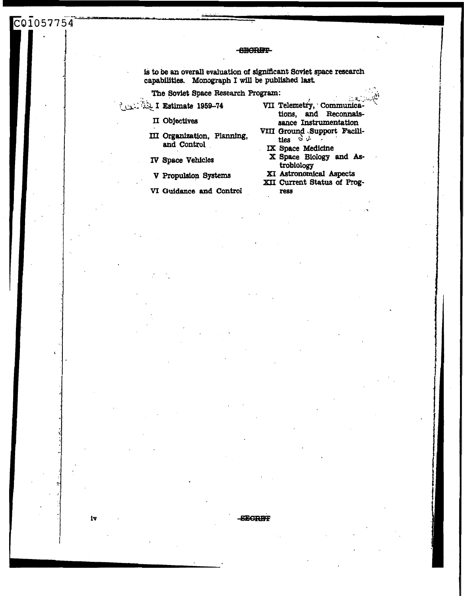## **SECRET**

is to be an overall evaluation of significant Soviet space research capabilities. Monograph I will be published last.

The Soviet Space Research Program:

Lex: We I Estimate 1959-74

C01057754

II Objectives

III Organization, Planning, and Control

IV Space Vehicles

V Propulsion Systems

VI Guidance and Control

VII Telemetry, Communications, and Reconnaissance Instrumentation

. 남.

- VIII Ground Support Facilities  $S \downarrow$ 
	- IX Space Medicine
	- X Space Biology and Astrobiology
- XI Astronomical Aspects XII Current Status of Progress

iv

**SECRET**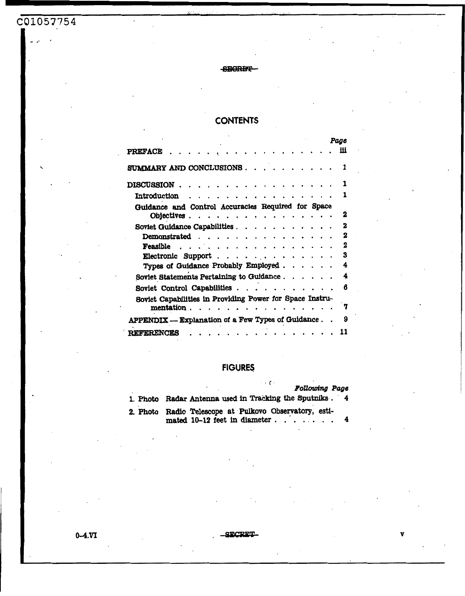# C01057754

## **SECRET**

## **CONTENTS**

|                                                                                               |  |  | Page |  |  |  |
|-----------------------------------------------------------------------------------------------|--|--|------|--|--|--|
| <b>PREFACE</b>                                                                                |  |  | Ħi   |  |  |  |
| SUMMARY AND CONCLUSIONS.                                                                      |  |  |      |  |  |  |
| <b>DISCUSSION</b> .                                                                           |  |  |      |  |  |  |
| <b>Introduction</b>                                                                           |  |  |      |  |  |  |
| Guidance and Control Accuracies Required for Space                                            |  |  |      |  |  |  |
| Objectives.                                                                                   |  |  | 2    |  |  |  |
| Soviet Guidance Capabilities.                                                                 |  |  | 2    |  |  |  |
| Demonstrated.                                                                                 |  |  | 2    |  |  |  |
| Feasible                                                                                      |  |  | 2    |  |  |  |
| Electronic Support.<br>$\cdots$<br>$\ddot{\phantom{1}}$<br>$\overline{\phantom{a}}$<br>$\sim$ |  |  | 3    |  |  |  |
| Types of Guidance Probably Employed.                                                          |  |  | 4    |  |  |  |
| Soviet Statements Pertaining to Guidance.                                                     |  |  | 4    |  |  |  |
| Soviet Control Capabilities.<br>$\sim$ $\sim$                                                 |  |  | 6    |  |  |  |
| Soviet Capabilities in Providing Power for Space Instru-                                      |  |  |      |  |  |  |
| mentation.                                                                                    |  |  | 7    |  |  |  |
| APPENDIX - Explanation of a Few Types of Guidance.<br>9                                       |  |  |      |  |  |  |
| <b>REFERENCES</b>                                                                             |  |  |      |  |  |  |

## **FIGURES**

| $\ldots$ .<br><b>Following Page</b>                                                    |
|----------------------------------------------------------------------------------------|
| 1. Photo Radar Antenna used in Tracking the Sputniks. 4                                |
| 2. Photo Radio Telescope at Pulkovo Observatory, esti-<br>mated 10-12 feet in diameter |

 $0 - 4.VI$ 

SECRET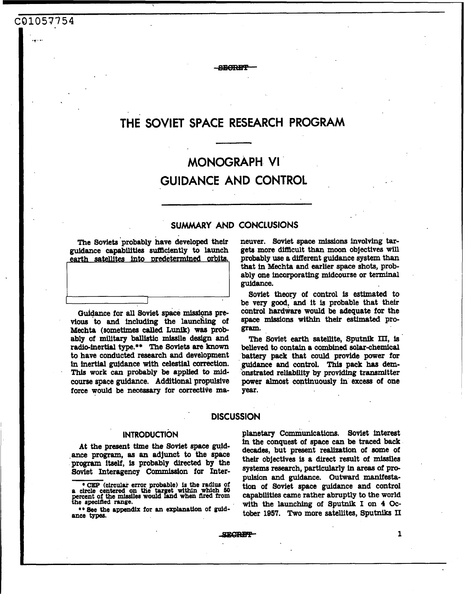# **THE SOVIET SPACE RESEARCH PROGRAM**

**ARCRET** 

# **MONOGRAPH. VI GUIDANCE AND CONTROL**

## **SUMMARY AND CONCLUSIONS**

**The** Soviets 'probably have developed their guidance capabilities sufficiently to launch earth satellites into predetermined orbits.

C01057754

Guidance for all Soviet space missions pre**vious** to and including the launching of Mechta (sometimes *called* **Lunik) waa** probably of military **ballietic** missile design and radio-inertial type.\*\* The Soviets *are* **known to** have conducted research and development **in** inertial guldsnce with celestial **correction. This work** *can* probably **be** applied to mid**course** space guidance. Additional propulsive force would be **necessary** for corrective maneuver, Soviet **space missions** involving targets more difficult than moon objectives will probably use a different guidance **system** than that in **Mechta** and earlier space shots, probably one incorporating midcourse or **terminal**  guidance.

Soviet theory of control is estimated to be very **good,** and it **is** probable that their control hardware would **be** adequate for the space **missions within** their estimated pro**gram.** 

The Soviet earth satellite, Sputnik III, is believed to contain a combined solar-chemical battery pack that could provide **power** for guidance **and** control. This pack **has** dembnstrated reliability by providing transmitter power almost continuously in exceas of one **year.** 

## **DISCUSSION**

**At** the present **time the** Soviet space guid- ,ante program, **aa an** adjunct to the space program **itseli, is** probably **directed** by the Soviet Interagency Commission for Inter-

\* **CEP (clrcular error. probable) is the radius of a circle centered on the tar et within which 60 prcent of the** missiles **would &nd when** nted **from he specifled range.** 

\*\* **See the appendlx for an explanation of guidance types.** 

**INTRODUCTION** planetary communications. soviet interest **in** the conquest of space can be traced back decades, but present realization of some of their objectives is a direct result of **missiles systems** research, particularly in **areas** of propulsion and guidance. Outward **manfiesta**tion of Soviet space guidance and control capabilities came rather abruptly to the world **with** *the* launching of sputnik I on **4** October **1957. Two** more satellites, Sputniks **II**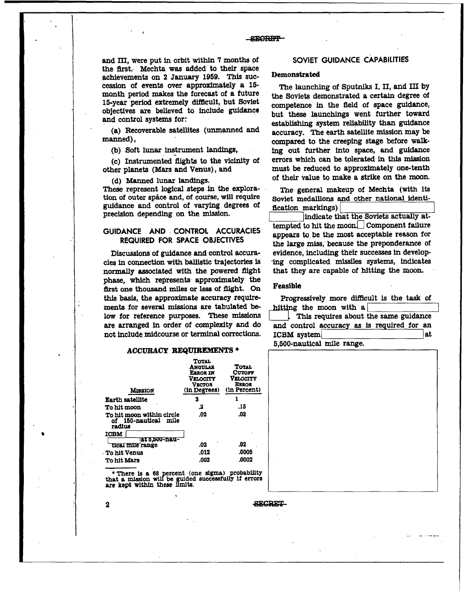## -SECRET-

and III, were put in orbit within **7** months of the first. Mechta was added to their space achievements on **2** January 1950. This succession of events over approximately a 15 month period **makes** the forecast of a future 15-year period extremely difficult, but Soviet objectives are believed **to** include guidance and control systems for:

(a) Recoverable satellites (unmanned and ..<br>,

(b) Soft lunar instrument **landings,** 

(c) Instrumented-flights to the Vicinity of other planets **(Mars** and Venus), and

(d) Manned lunar landings.<br>These represent logical steps in the exploration of outer space and, of course, will require guidance and control of varying degrees of precision depending on the mission.

## **GUIDANCE AND CONTROL ACCURACIES REQUIRED FOR SPACE OBJECTIVES**

Discussions of guidance and control **accura**cies in connection with ballistic trajectories **is**  normally associated with the powered flight phase, **which** represents approximately the flrst one thousand miles or less **of** fight. **On this** basis, the approximate accuracy requirements for several missions are tabulated **be**low for reference purposes. These **missions are** arranged in order of complexity **and** do not include midcourse or terminal corrections.

### **ACCURACY REQUIREMENTS \***

| <b>Mission</b>                                              | <b>TOTAL</b><br>ANGULAR<br>E2ROR IN<br><b>Velocity</b><br><b>VECTOR</b><br>(in Degrees) | <b>TOTAL</b><br>Cutoff<br><b>VELOCITY</b><br>ERROR<br>(in Percent) |
|-------------------------------------------------------------|-----------------------------------------------------------------------------------------|--------------------------------------------------------------------|
| <b>Earth satellite</b>                                      | 3                                                                                       | 1                                                                  |
| To hit moon                                                 | .2                                                                                      | -15                                                                |
| To hit moon within circle<br>of 150-nautical mile<br>radius | .02                                                                                     | .02                                                                |
| <b>ICBM</b>                                                 |                                                                                         |                                                                    |
| <b>-D.A. - D.A. 3 &amp; T.A.</b><br>tical mile range        | .02                                                                                     | .02                                                                |
|                                                             |                                                                                         |                                                                    |
| <b>To hit Venus</b>                                         | .012                                                                                    | .0005                                                              |
| <b>To hit Mars</b>                                          | .003                                                                                    | .0002                                                              |

**\*There Is a 68 ercent (one sigma) probability that a mlasion wdbe ded** successfully **if errors**  *are* **kept within these P mib.** 

 $\lambda$ 

 $\overline{\mathbf{2}}$ 

### **SECRET**

## **SOVIET GUIDANCE CAPABILITIES**

## **Demonstrated**

The launching of Sputniks I, 11, and **In** by the Soviets demonstrated a certain degree of competence in the field of space guidance, but these launchings went further toward establishing system reliability than guidance accuracy. The **earth** satellite mission may be compared to the creeping stage before walk**ing** out further into space, and guidance errors which can be tolerated in this mission **must** be reduced to approximately one-tenth of their value to make a strike on the moon.

The general makeup of Mechta **(Win** its Soviet medallions and other national identification markings)

indicate that the Soviets actually attempted to hit the moon Component failure appears to be the most acceptable reason **for**  the large miss, because the preponderance of evidence, including their successes in develop 'ing complicated missiles **systems,** indicates that they are capable of hitting the moon.

## Feasible

Progressively more difacult **is** the task of hitting the moon with a

**This requires about the same guidance** and control accuracy **as** is required for **an ICBM** system 5,500-nautical mile range.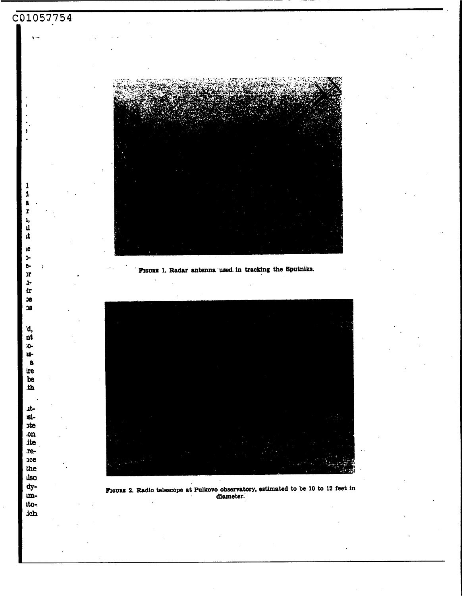![](_page_8_Picture_0.jpeg)

Fraunz 2. Radio telescope at Pulkovo observatory, estimated to be 10 to 12 feet in diameter.

unitoich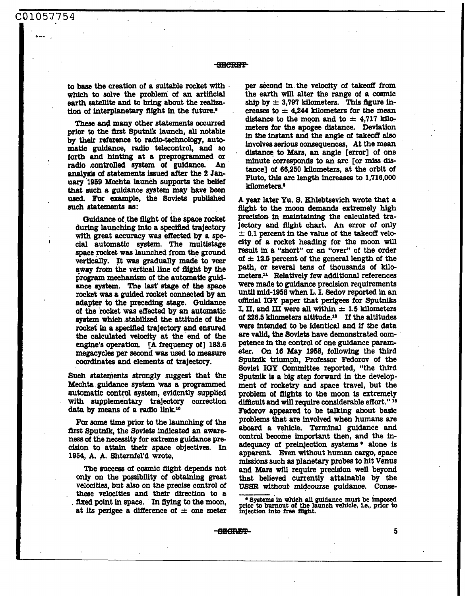to **base** the creation of a suitable rocket with **which** to solve the problem of **an artificial**  earth **atellib** and to bring about the **realleation** of interplanetary flight in the future.'

**These** and many other statements **occurred**  prior to the flrst Sputnik launch, **all** notable by their reference to radio-technology, automatic guidance, radio telecontrol, and so forth and hinting at a preprogrammed or<br>radio controlled system of guidance. An radio .controlled eystem of **guidance. An**  analysis of statements issued after the 2 January **'1959** Mechta launch supports the belief that *such* a guidance **system may** have **been used. For** example, the Soviets published **such statements as:** 

Guidance of the flight of the space rocket during **launching** into a specified **trajectory**  with great accuracy was effected by a special automatic system. The multistage space rocket waa launched from the ground vertically. It was gradually made to veer **away** from the vertical line of flight **by** the program mechanism of the automatic guidance system. The last stage of the space rocket was a guided rocket connected by an adapter to the preceding stage. Guidance of the 'rocket was eflected by **an** automatic system which stabilized the attitude of the rocket in **a specified** trajectory **and** ensured the calculated velocity at the end of the engine's operation. **[A** frequency of] 183.6 megacycles **per** second was **used** to measure coordinates and elements of trajectory.

Such Statements strongly suggest that the **Mechta** guidance **system was a** programmed automatic control **system,** evidently supplied with supplementary trajectory correction data **by** means of a radio **link.l0** 

For some time prior to the launching of the fhst **Sputnik,** the Soviets indicated **an** awareness of the necessity for extreme guidance pre **cfsion** to attain their space objectives. In 1954, A. **A.** 8hternfel'd wrote,

The succeas of cosmic flight depends not **only on** the possibility of obtaining great velocities, but **also** on *the* precise control of these velocities and their direction to a fixed point in space. In flying to the moon, at its perigee a difference of  $\pm$  one meter

per second in the velocity of takeoff from the earth **will alter** the range of a cosmic ship by  $\pm$  3,797 kilometers. This figure increases to  $\pm$  4,244 **kilometers** for the mean distance to the moon and to  $\pm$  4,717 kilometers for the apogee distance. Deviation In *the* instant and the angle of **takeoff also**  involves **serious** consequences, At the mean distance to Mars, an angle [error] of one minute correspands to **an** arc [or **mfss dis**tance] of 66,250 kilometers, at the orbit of Pluto, **this** arc **length increases** to **1,716,000**  kilometers.8

**A year** later **Yu.** *8.* Khlebtaevich **wrote** that a flight **to the** moon demands extremely high precision In **maintaining** the calculated tra**jectory** and flight **chart.** *An* error of only  $\pm$  0.1 percent in the value of the takeoff velocity of a rocket heading for the moon **will**  result in a "short" or an "over" of the order of  $\pm$  12.5 percent of the general length of the path, or several **tens** of thousands of **kilo**meters.'l Relatively few additional references were made to **guidance** precision requirements **until** mid-1858 when **L.** I. isedov reported **in an ofRcial IGY** paper that **perigees** for Sputniks I, II, and III were all within  $\pm$  1.5 kilometers of 226.5 kilometers altitude.12 If the altitudes **were intended** to **be** identical **and** if the data are valid, the Soviets have demonstrated competence in the control of one guidance parameter. **On 16 May 1968,** following the third Sputnik triumph, Professor Fedorov of the Soviet **IOY** Committee reported, "the third **Spucnilr is** a big step forward in **the** development of rocketry and space travel, but the problem of **flights** to the **moon is** extremely difacult and **will require** considerable effort." **I\***  Fedorov appeared to be talking about basic problems that are involved when humans **are**  aboard a vehicle. **Terminal** guidance and control become important then, and the inadequacy of preinjection **systems+** alone is apparent. Even without human cargo, space **missions** such **as** planetary probes *to* hit **Venus and Mars will** require precision well **beyond**  that believed currently attainable by the **USSR** without midcourse guidance. **Conse-**

-SECRET-

**p b burnout** of the launch vehicle, i.e., prior to higher to burnout of the launch vehicle, i.e., prior to injection into free flight.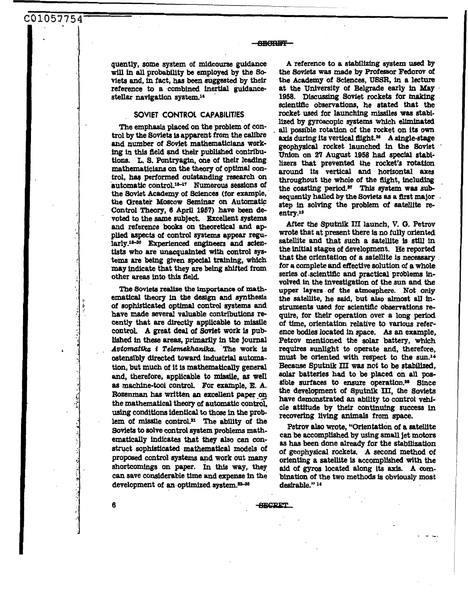quently, some system of midcourse guidance will in all probability be employed by the Soviets and, **in** fact, **has been eugge8ted** by their reference to a combined **inertial** guidancestellar navigation system.<sup>14</sup>

**C01057754** '

### **SOVIET CONTROL CAPABILITIES**

The emphasis placed **on** the problem of control by the Soviets is apparent **from** the calibre and number of Soviet mathematicians work**ing in this field** md their published contrlbutions. L. S. Pontryagin, one of their leading mathematicians **on** the theory of optimal **con**trol, *haq* performed outstanding research *on*  automatic control.<sup>15-17</sup> Numerous sessions of the Soviet Academy of Sciences (for example, the Greater Moscow Seminar on Automatic Control *Theory,* **6** April **1957)** have **been** devoted to the same subject. Excellent systems and reference books on theoretical and applied aspects of control systems appear regu*tists* who are unacquainted **with** control *sys***tems** are being given **special training,** which may indicate that they **are being shifted** from other **sreas** into this **field.**  larly.<sup>18-30</sup> Experienced engineers and scien-

The Soviets realize the importance of mathematical theory in the design and synthesis of sophisticated optimal control **systems** and have made several valuable contributions recently that are directly applicable to missile **control. A** great deal *of* Soviet work **is** published in these areas, primarily in the journal *AvttnnaMca* **f** *Telemelchantlco.* The work **is**  ostensibly directed **toward** industrial autamation, but **much** *of* it is mathematically general and, therefore, applicable to missile, **as well as** machine-tool control. **For** example, **E.** A. **Rozenman has written an excellent paper on** the mathematical *theory* of automatic control, *using* conditions identical to those in the prob**lem** of missile control." The ability of the Soviets to solve **control system** problems rnath**ematically** indicates that **they also** *can* **con**struct sophisticated mathematical models of proposed **control systems** apd work out many shortcomings **on** paper. In this way, they *can* save considerable **time** and expense in the development of an optimized system.<sup>22-25</sup>

**A** reference to **a stabillzfng system used by**  the **Soviets was** made **by Professor** Fedorov of the Academy of Sciences, USSR, in *8* **lecture**  at the University of Belgrade early **in May 1958.** Discussing Soviet rockets for *makbg*  scientific observations, **he stated** that the rocket used for launching missilea was **atabi**by gyroscopic **systems** which eliminated **all** possible rotation **of** the rocket **on its own axis** during **its** vertical **A** single-stage geophysical rocket launched in the Soviet **Union** on **2'7** August **1958 had special** stabi**lizers** that prevented the **rocket's rotation**  around Its vertical and horizontal **axes**  throughout the whole *of* the flight, including the coasthg period." This **system** was **sub**step in solving the problem of satellite reentry.18

*After* the Sputnik **III** launch, **V.** *C3.* Petrov **wrote** that at present there **is no** fully oriented **satellite** and that such a **satellite is still** in the fnitial stages of development. He **reported**  that the orientation of a satellite **is necessary**  for **a** complete and effective solution *of* **a** whole series of scientific and practical problems involved in *the* investigation of the **sun and the upper layer8 of the** atmosphere. Not **only**  the **satellite,** he **said,** but **also almost all** instruments used for scientific **observations re**quire, for their operation over a long **period**  of time, orientation relative to **various** reference **bodies** located **in space.** *As* **an** example, Petrov mentioned the solar battery, which require8 sunlight to **operate** and, therefore, must **be** oriented with respect **to** the **sun.14**  Because Sputnik **III was** not *to* **be sbbUzed,**  solar batteries had to **be** placed on **all pos**sible surfaces to ensure operation.<sup>28</sup> Since the development of Sputnik **III,** the Soviets have demonstrated **an** ability to control vehicle attitude by their **continuing** success in recovering **living animals** from **space.** 

Petrov also **wrote,** "Orientation of a satellite can **be** accomplished by **using small** jet **motors as has been** done already for the stabilization of geophysical rockets. **A** second method of **orienting** a **satellite** is accomplished **with** the aid of gyros located along **its axis. A com**bination of the two methods **is** obviously **most**  desirable." **l4** 

**SECRET** 

**SECRET-**

**6**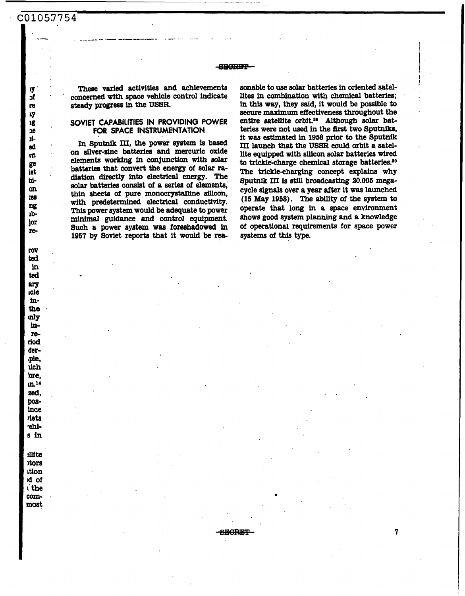$C0105.7754$ 

**1-** 

уy  $\mathbf{r}$ re ıy ιg  $2e$ ķЬ ed  $\overline{\mathfrak{m}}$ ge iet bion tes ng  $1<sub>b</sub>$ jor re-

roy ted in ted **arv toje** inthe mly inreriod der-.ple. uch 'ore,  $m<sup>14</sup>$ zed, posince riets rehis in

**illite** otors ition d of i the commost

**mese varied activities** and achievements concerned **with** space vehicle control indicate **steady** progress **in** the **USSR.** 

**SEGRET** 

## **SOVIET CAPABILITIES IN PROVIDING POWER FOR SPACE INSTRUMENTATION**

In Sputnik III, the power system is based on silver-sinc batteries and mercuric oxide elements working **in** conjunction **with** solar batteries that convert the **energy** of solar **ra**diation **directly** *into* electrical **energy.** The **solar** batteries consist of a *series* of elements, thin sheets of pure monocrystalline silicon, with predetermined electrical conductivity. **This** power system would **be adequate** to power minimal guidance and control equipment. Such a power system **was foreshadowed in <sup>1957</sup>by** &viet **reports that** it **would be** rea-

sonable to **use solar** batteries in oriented satel**lites** in combination **with** chemical batteries; **in** this way, **they** said, it would be possible **to**  secure maximum effectiveness throughout the entire satellite orbit.<sup>29</sup> Although solar batteries were not **used** in the flrst two Sputniks, it was estimated in **1958** prior to the Sputnik 111 launch that the **USSR** could orbit **a** satel**lite equipped with** silicon **solar** batteries **wired**  to trickle-charge chemical storage batteries.<sup>30</sup> The tricklecharging concept **explains** why Sputnik **III Is still broadcasting 20.005** megacycle **signals over a** year **after** it was launched **(15** May **1958).** The ability *of* the **system to**  operate that long in **a** space environment shows **good system** planning and **a** knowledge of operational requirements for space power **systems of** this **type.** 

l<br>!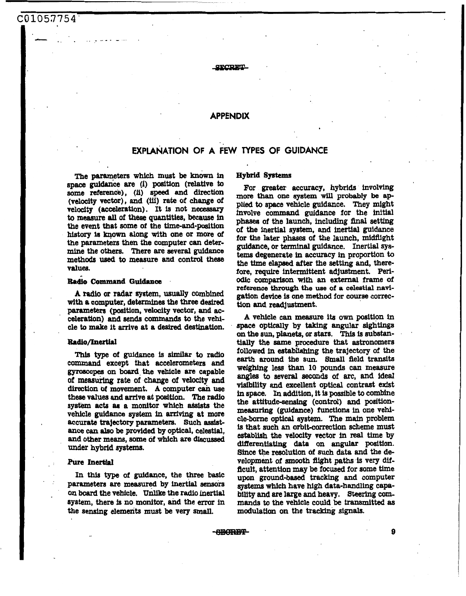## C01057754'

## **SECRET**

## **APPENDIX**

## **EXPLANATION OF A FEW TYPES OF GUIDANCE**

The parameters which must be known in space guidance are (i) position (relative to *somt* **reference), (ii) speed** and direction (velocity vector), and **(iu) rate** of change of velocity (acceleration). It is not necessary to measure all of these quantities, because in the event that some of the time-and-position history **ls mown along** with one or more *of*  the parameters then the computer *can* determine the others. There *are* several guidance method8 **used** to measure and control these values.

## **Ihko Command Guidance**

**A radio or radar system, usually** combined with a computer, determines the **three** desired parameters (position, velocity vector, and acceleration) and *sends* commands to the vehicle to make it arrive at a desired destination.

### **Radio/Inertial**

This type of guidance is *similar* to radio command except that accelerometers and **gyroacopes** on board the vehlcle are capable of **measuring** rate of change of **velocity and**  direction *of* movement. **A** computer *cah* **use**  these values and arrive at position. The radio system acts as a monitor which assists the vehicle **guidance system** in arriving at more accurate trajectory parameters. Such **assist**ance *can* **ala0 be** provided **by** optical, celestial, and other means, some of which are discussed under hybrid **systems.** 

### Pure **Inertial**

**In this type** of guidance, the three basic parameters *are* measured by inertial sensors on **board** the vehicle, Unlike the radio **inertial**  system, there is no **monitor,** and the *error* in the sensing **demerits** must **be** very **small.** 

### **Hybrid Systems**

**For** greater accuracy, hybrids involving **more than** one **system will** probably **be ap**  plied to space vehicle guidance. They might involve command guidance for the initial phases of the launch, including **fhal** setting for the later phases of the launch, midflight guidance, or terminal guidance. Inertial **sys**tems degenerate in accuracy in proportion to the time **elapsed after** the setting and, therefore, require intermittent adjustment. Periodic comparison with an **external** frame of reference through the use of a celestial navigation **device** is one **method** for course correction and readjustment.

**A** vehicle can **measure its** own position in space optically by **taking angular** sightings *on* the **sun,** planets, or **stars.** This is substantially the same procedure that astronomers followed in establiahlng the trajectory of the earth around the **sun. Small** fleld transits weighing less than **10** pounds can measure angles to **several seconds** of arc, **and** ideal visibility **and** excellent optical contrast exist in space. In addition, it is possible to combine the attitude-sensing (control) and positionmeasuring (guidance) functions in one vehicle-borne optical **system.** The main problem . is that such an orbit-correction scheme must establish the velocity vector in real time by differentiating data on angular position. Since the resolution of **such** data and the development **of** smooth flight paths **is** very *dif*ficult, attentdon may be **focused** for some time upon ground-based tracking and computer systems which have high data-handling capability and are large **and heavy.** Steering *com***mands** to the vehicle could **be** transmitted **as**  modulation on the tracking signals.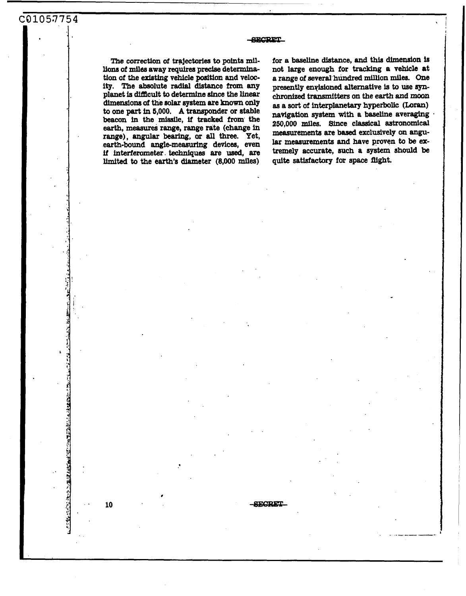## **SECRET**

**SECRET** 

The correction of trajectories to points mil**lions** of **miles** away **requires precise** determina**tion** of the *exhting* **vehicle position and** velocity. The absolute radial distance **from any**  planet **is** difficult to determine sfnce the **linear dimensions of** the solar *system* **are known only**  to one **part** in **6,000. A transponder** or stable **beacon** in the missile, **if tracked from** the earth, measures range, range rate (change in **range), angular bearing,** *or* **all** three. Yet, earth-bound **angbmeasurhg** devices, even **if interfemmeter.techniques** are **used, are**  limited to the **earth's** diameter **(8,000** miles)

for a baseline distance, and this dimension is not large enough **for tracking a** vehicle at *8* **range** of several **hundred million miles.** One presently **enyisioned** alternative is to we *synchronized* transmitters **on the earth and moon as** a **sort** of interplanetary hyperbolic **(Loran)**  natrigation **system with a** baseline averaging **2S0,OOO miles.** Since classical astronomical lar measurements **and have** proven *to* **be extremely accurate, such a system should be**  measurements are based exclusively on angu**quite** *satisfactory* **for** space flight.

10

化二甲烷 化乙酰乙酸 医小脑心包 计多数 医心包的 医中间性的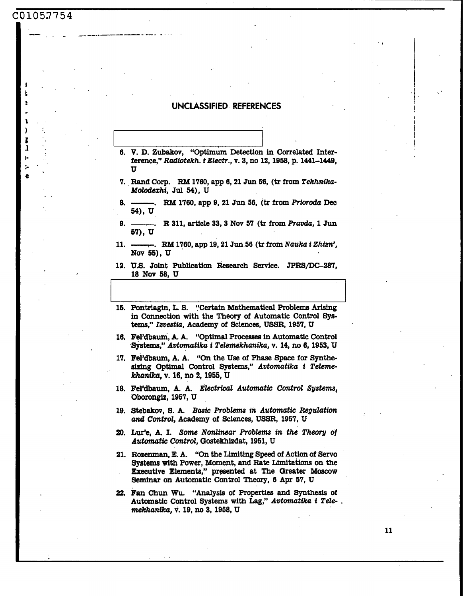# C0105.7754

Z 1

ŀ

ţ.

## UNCLASSIFIED REFERENCES

- 6. V. D. Zubakov, "Optimum Detection in Correlated Interference," Radiotekh. i Electr., v. 3, no 12, 1958, p. 1441-1449, TT<sub>1</sub>
- 7. Rand Corp. RM 1760, app 6, 21 Jun 56, (tr from Tekhnika-Molodexhi, Jul 54), U
- -. RM 1760, app 9, 21 Jun 56, (tr from Prioroda Dec 8. 54), U
- $9. -$ -. R 311, article 33, 3 Nov 57 (tr from Pravda, 1 Jun 57), U
- -. RM 1760, app 19, 21 Jun 56 (tr from Nauka i Zhizn',  $11. -$ Nov 55), U
- 12. U.S. Joint Publication Research Service. JPRS/DC-287, 18 Nov 58, U
- 15. Pontriagin, L. S. "Certain Mathematical Problems Arising in Connection with the Theory of Automatic Control Systems," Izvestia, Academy of Sciences, USSR, 1957, U
- 16. Fel'dbaum, A. A. "Optimal Processes in Automatic Control Systems," Avtomatika i Telemekhanika, v. 14, no 6, 1953, U
- 17. Fel'dbaum, A. A. "On the Use of Phase Space for Synthesizing Optimal Control Systems," Avtomatika i Telemekhanika, v. 16, no 2, 1955, U
- 18. Fel'dbaum, A. A. Electrical Automatic Control Systems, Oborongiz, 1957, U
- 19. Stebakov, S. A. Basic Problems in Automatic Regulation and Control, Academy of Sciences, USSR, 1957, U
- 20. Lur'e, A. I. Some Nonlinear Problems in the Theory of Automatic Control, Gostekhizdat, 1951, U
- 21. Rozenman, E. A. "On the Limiting Speed of Action of Servo Systems with Power, Moment, and Rate Limitations on the Executive Elements," presented at The Greater Moscow Seminar on Automatic Control Theory, 6 Apr 57, U
- 22. Fan Chun Wu. "Analysis of Properties and Synthesis of Automatic Control Systems with Lag," Avtomatika i Tele-. mekhanika, v. 19, no 3, 1958, U